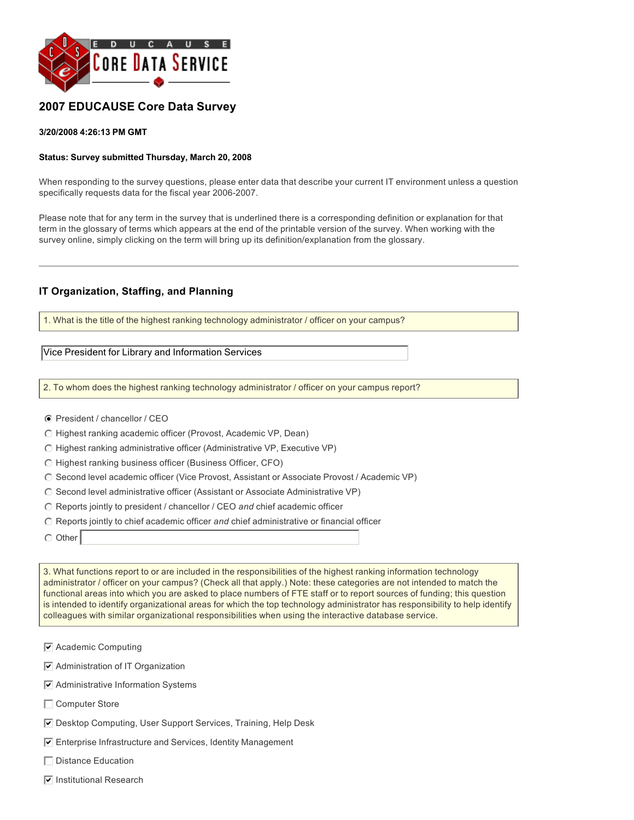

## **2007 EDUCAUSE Core Data Survey**

#### **3/20/2008 4:26:13 PM GMT**

#### **Status: Survey submitted Thursday, March 20, 2008**

When responding to the survey questions, please enter data that describe your current IT environment unless a question specifically requests data for the fiscal year 2006-2007.

Please note that for any term in the survey that is underlined there is a corresponding definition or explanation for that term in the glossary of terms which appears at the end of the printable version of the survey. When working with the survey online, simply clicking on the term will bring up its definition/explanation from the glossary.

#### **IT Organization, Staffing, and Planning**

1. What is the title of the highest ranking technology administrator / officer on your campus?

Vice President for Library and Information Services

2. To whom does the highest ranking technology administrator / officer on your campus report?

- President / chancellor / CEO
- $\odot$  Highest ranking academic officer (Provost, Academic VP, Dean)
- $\bigcirc$  Highest ranking administrative officer (Administrative VP, Executive VP)
- $\odot$  Highest ranking business officer (Business Officer, CFO)
- C Second level academic officer (Vice Provost, Assistant or Associate Provost / Academic VP)
- $\odot$  Second level administrative officer (Assistant or Associate Administrative VP)
- $\bigcirc$  Reports jointly to president / chancellor / CEO and chief academic officer
- $\bigcirc$  Reports jointly to chief academic officer and chief administrative or financial officer
- $\circ$  Other

3. What functions report to or are included in the responsibilities of the highest ranking information technology administrator / officer on your campus? (Check all that apply.) Note: these categories are not intended to match the functional areas into which you are asked to place numbers of FTE staff or to report sources of funding; this question is intended to identify organizational areas for which the top technology administrator has responsibility to help identify colleagues with similar organizational responsibilities when using the interactive database service.

- $\triangledown$  Administration of IT Organization
- $\triangledown$  Administrative Information Systems
- $\Box$  Computer Store
- $\overline{\mathbf{y}}$  Desktop Computing, User Support Services, Training, Help Desk
- $\overline{v}$  Enterprise Infrastructure and Services, Identity Management
- $\Box$  Distance Education
- $\overline{\triangledown}$  Institutional Research

 $\sqrt{\phantom{a}}$  Academic Computing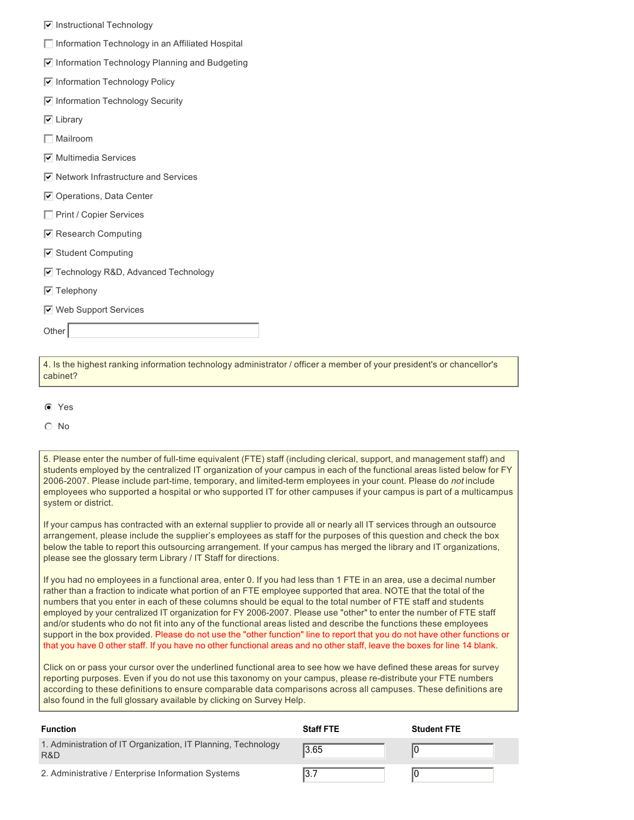- $\triangledown$  Instructional Technology
- $\Box$  Information Technology in an Affiliated Hospital
- $\boxed{\mathbf{v}}$  Information Technology Planning and Budgeting
- $\overline{v}$  Information Technology Policy
- $\triangledown$  Information Technology Security
- $\nabla$  Library
- $\Box$  Mailroom
- $\overline{\triangledown}$  Multimedia Services
- $\triangledown$  Network Infrastructure and Services
- $\overline{\triangledown}$  Operations, Data Center
- $\Box$  Print / Copier Services
- $\boxed{\triangleright}$  Research Computing
- $\boxed{\triangledown}$  Student Computing
- $\sqrt{\phantom{a}}$  Technology R&D, Advanced Technology
- $\triangledown$  Telephony
- $\overline{v}$  Web Support Services

**Other** 

4. Is the highest ranking information technology administrator / officer a member of your president's or chancellor's cabinet?

 $\odot$  Yes

 $\odot$  No

5. Please enter the number of full-time equivalent (FTE) staff (including clerical, support, and management staff) and students employed by the centralized IT organization of your campus in each of the functional areas listed below for FY 20062007. Please include parttime, temporary, and limitedterm employees in your count. Please do *not* include employees who supported a hospital or who supported IT for other campuses if your campus is part of a multicampus system or district.

If your campus has contracted with an external supplier to provide all or nearly all IT services through an outsource arrangement, please include the supplier's employees as staff for the purposes of this question and check the box below the table to report this outsourcing arrangement. If your campus has merged the library and IT organizations, please see the glossary term Library / IT Staff for directions.

If you had no employees in a functional area, enter 0. If you had less than 1 FTE in an area, use a decimal number rather than a fraction to indicate what portion of an FTE employee supported that area. NOTE that the total of the numbers that you enter in each of these columns should be equal to the total number of FTE staff and students employed by your centralized IT organization for FY 2006-2007. Please use "other" to enter the number of FTE staff and/or students who do not fit into any of the functional areas listed and describe the functions these employees support in the box provided. Please do not use the "other function" line to report that you do not have other functions or that you have 0 other staff. If you have no other functional areas and no other staff, leave the boxes for line 14 blank.

Click on or pass your cursor over the underlined functional area to see how we have defined these areas for survey reporting purposes. Even if you do not use this taxonomy on your campus, please re-distribute your FTE numbers according to these definitions to ensure comparable data comparisons across all campuses. These definitions are also found in the full glossary available by clicking on Survey Help.

| <b>Function</b>                                                      | <b>Staff FTE</b> | <b>Student FTE</b> |
|----------------------------------------------------------------------|------------------|--------------------|
| 1. Administration of IT Organization, IT Planning, Technology<br>R&D | 3.65             |                    |
| 2. Administrative / Enterprise Information Systems                   |                  |                    |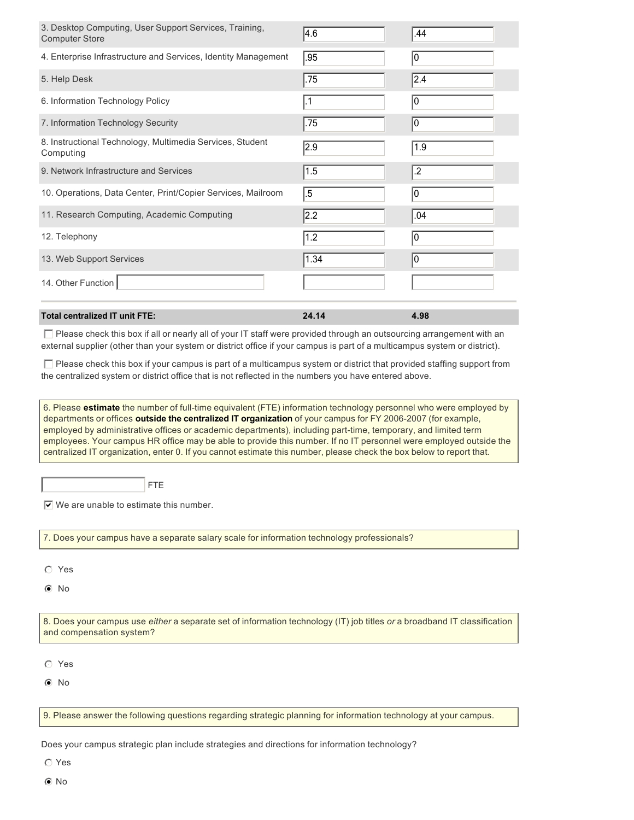| 3. Desktop Computing, User Support Services, Training,<br><b>Computer Store</b>                                                                                                                                                                                                                                                                                                                                                                                                                                                                                                                 | $\overline{4.6}$ | .44             |  |  |
|-------------------------------------------------------------------------------------------------------------------------------------------------------------------------------------------------------------------------------------------------------------------------------------------------------------------------------------------------------------------------------------------------------------------------------------------------------------------------------------------------------------------------------------------------------------------------------------------------|------------------|-----------------|--|--|
| 4. Enterprise Infrastructure and Services, Identity Management                                                                                                                                                                                                                                                                                                                                                                                                                                                                                                                                  | .95              | 0               |  |  |
| 5. Help Desk                                                                                                                                                                                                                                                                                                                                                                                                                                                                                                                                                                                    | .75              | 2.4             |  |  |
| 6. Information Technology Policy                                                                                                                                                                                                                                                                                                                                                                                                                                                                                                                                                                | $\vert .1$       | 0               |  |  |
| 7. Information Technology Security                                                                                                                                                                                                                                                                                                                                                                                                                                                                                                                                                              | .75              | 0               |  |  |
| 8. Instructional Technology, Multimedia Services, Student<br>Computing                                                                                                                                                                                                                                                                                                                                                                                                                                                                                                                          | $\sqrt{2.9}$     | 1.9             |  |  |
| 9. Network Infrastructure and Services                                                                                                                                                                                                                                                                                                                                                                                                                                                                                                                                                          | $\sqrt{1.5}$     | $\overline{.2}$ |  |  |
| 10. Operations, Data Center, Print/Copier Services, Mailroom                                                                                                                                                                                                                                                                                                                                                                                                                                                                                                                                    | $\overline{.5}$  | 0               |  |  |
| 11. Research Computing, Academic Computing                                                                                                                                                                                                                                                                                                                                                                                                                                                                                                                                                      | $\overline{2.2}$ | .04             |  |  |
| 12. Telephony                                                                                                                                                                                                                                                                                                                                                                                                                                                                                                                                                                                   | 1.2              | o               |  |  |
| 13. Web Support Services                                                                                                                                                                                                                                                                                                                                                                                                                                                                                                                                                                        | 1.34             | 0               |  |  |
| 14. Other Function                                                                                                                                                                                                                                                                                                                                                                                                                                                                                                                                                                              |                  |                 |  |  |
| <b>Total centralized IT unit FTE:</b>                                                                                                                                                                                                                                                                                                                                                                                                                                                                                                                                                           | 24.14            | 4.98            |  |  |
| □ Please check this box if all or nearly all of your IT staff were provided through an outsourcing arrangement with an<br>external supplier (other than your system or district office if your campus is part of a multicampus system or district).<br>$\Box$ Please check this box if your campus is part of a multicampus system or district that provided staffing support from                                                                                                                                                                                                              |                  |                 |  |  |
| the centralized system or district office that is not reflected in the numbers you have entered above.                                                                                                                                                                                                                                                                                                                                                                                                                                                                                          |                  |                 |  |  |
| 6. Please estimate the number of full-time equivalent (FTE) information technology personnel who were employed by<br>departments or offices outside the centralized IT organization of your campus for FY 2006-2007 (for example,<br>employed by administrative offices or academic departments), including part-time, temporary, and limited term<br>employees. Your campus HR office may be able to provide this number. If no IT personnel were employed outside the<br>centralized IT organization, enter 0. If you cannot estimate this number, please check the box below to report that. |                  |                 |  |  |
| <b>FTE</b>                                                                                                                                                                                                                                                                                                                                                                                                                                                                                                                                                                                      |                  |                 |  |  |

 $\triangledown$  We are unable to estimate this number.

7. Does your campus have a separate salary scale for information technology professionals?

- $O$  Yes
- $\odot$  No

8. Does your campus use *either* a separate set of information technology (IT) job titles *or* a broadband IT classification and compensation system?

 $O$  Yes

 $\odot$  No

9. Please answer the following questions regarding strategic planning for information technology at your campus.

Does your campus strategic plan include strategies and directions for information technology?

 $\odot$  Yes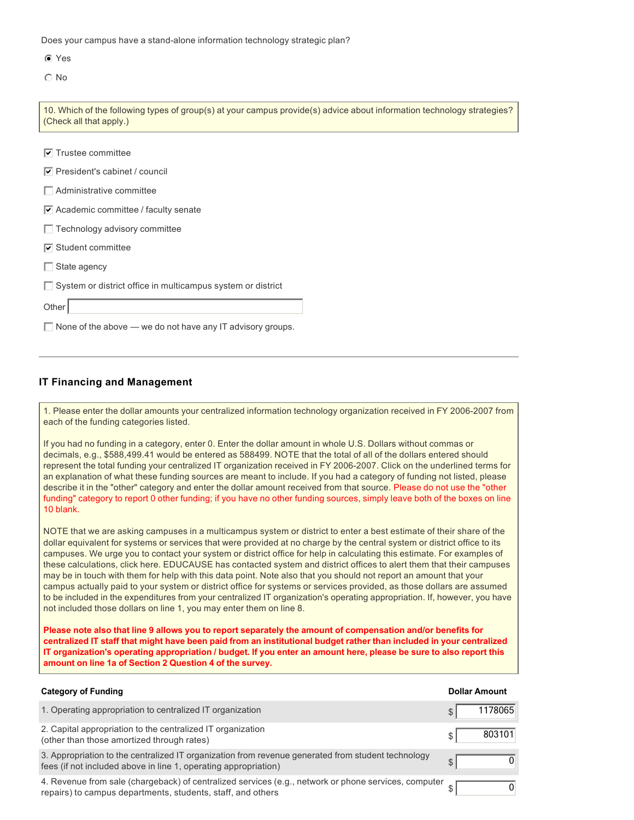Does your campus have a stand-alone information technology strategic plan?

|--|--|

 $\odot$  No

| 10. Which of the following types of group(s) at your campus provide(s) advice about information technology strategies?<br>(Check all that apply.) |
|---------------------------------------------------------------------------------------------------------------------------------------------------|
|                                                                                                                                                   |
| $\nabla$ Trustee committee                                                                                                                        |
| $\triangledown$ President's cabinet / council                                                                                                     |
| $\Box$ Administrative committee                                                                                                                   |
| $\triangledown$ Academic committee / faculty senate                                                                                               |
| $\Box$ Technology advisory committee                                                                                                              |
| $\triangledown$ Student committee                                                                                                                 |
| $\Box$ State agency                                                                                                                               |
| $\Box$ System or district office in multicampus system or district                                                                                |
| Other                                                                                                                                             |
| $\Box$ None of the above — we do not have any IT advisory groups.                                                                                 |

#### **IT Financing and Management**

1. Please enter the dollar amounts your centralized information technology organization received in FY 2006-2007 from each of the funding categories listed.

If you had no funding in a category, enter 0. Enter the dollar amount in whole U.S. Dollars without commas or decimals, e.g., \$588,499.41 would be entered as 588499. NOTE that the total of all of the dollars entered should represent the total funding your centralized IT organization received in FY 2006-2007. Click on the underlined terms for an explanation of what these funding sources are meant to include. If you had a category of funding not listed, please describe it in the "other" category and enter the dollar amount received from that source. Please do not use the "other funding" category to report 0 other funding; if you have no other funding sources, simply leave both of the boxes on line 10 blank.

NOTE that we are asking campuses in a multicampus system or district to enter a best estimate of their share of the dollar equivalent for systems or services that were provided at no charge by the central system or district office to its campuses. We urge you to contact your system or district office for help in calculating this estimate. For examples of these calculations, click here. EDUCAUSE has contacted system and district offices to alert them that their campuses may be in touch with them for help with this data point. Note also that you should not report an amount that your campus actually paid to your system or district office for systems or services provided, as those dollars are assumed to be included in the expenditures from your centralized IT organization's operating appropriation. If, however, you have not included those dollars on line 1, you may enter them on line 8.

**Please note also that line 9 allows you to report separately the amount of compensation and/or benefits for centralized IT staff that might have been paid from an institutional budget rather than included in your centralized IT organization's operating appropriation / budget. If you enter an amount here, please be sure to also report this amount on line 1a of Section 2 Question 4 of the survey.**

| <b>Category of Funding</b>                                                                                                                                            | <b>Dollar Amount</b> |
|-----------------------------------------------------------------------------------------------------------------------------------------------------------------------|----------------------|
| 1. Operating appropriation to centralized IT organization                                                                                                             | 1178065              |
| 2. Capital appropriation to the centralized IT organization<br>(other than those amortized through rates)                                                             | 803101               |
| 3. Appropriation to the centralized IT organization from revenue generated from student technology<br>fees (if not included above in line 1, operating appropriation) |                      |
| 4. Revenue from sale (chargeback) of centralized services (e.g., network or phone services, computer<br>repairs) to campus departments, students, staff, and others   |                      |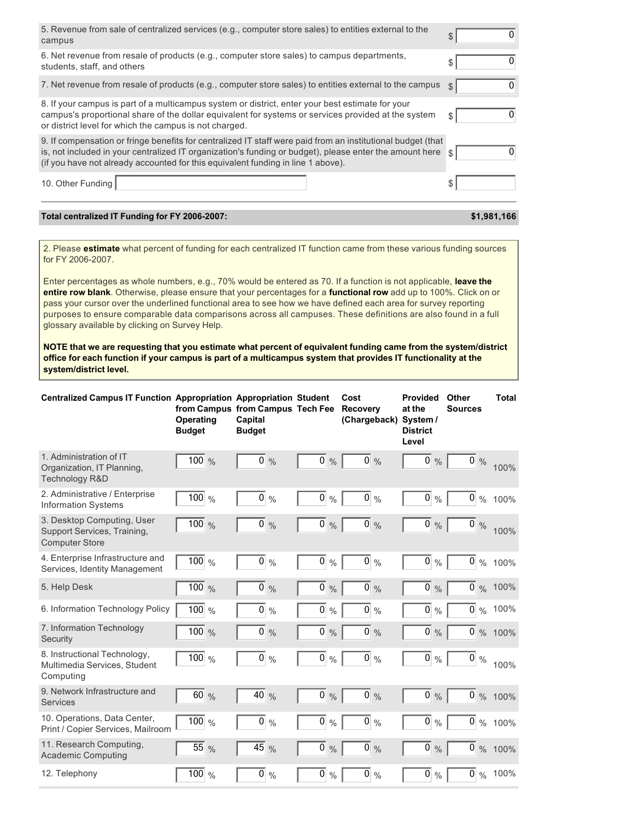| 5. Revenue from sale of centralized services (e.g., computer store sales) to entities external to the<br>campus                                                                                                                                                                                            | \$      |
|------------------------------------------------------------------------------------------------------------------------------------------------------------------------------------------------------------------------------------------------------------------------------------------------------------|---------|
| 6. Net revenue from resale of products (e.g., computer store sales) to campus departments,<br>students, staff, and others                                                                                                                                                                                  | \$      |
| 7. Net revenue from resale of products (e.g., computer store sales) to entities external to the campus                                                                                                                                                                                                     | O<br>\$ |
| 8. If your campus is part of a multicampus system or district, enter your best estimate for your<br>campus's proportional share of the dollar equivalent for systems or services provided at the system<br>or district level for which the campus is not charged.                                          | S       |
| 9. If compensation or fringe benefits for centralized IT staff were paid from an institutional budget (that<br>is, not included in your centralized IT organization's funding or budget), please enter the amount here<br>(if you have not already accounted for this equivalent funding in line 1 above). |         |
| 10. Other Funding                                                                                                                                                                                                                                                                                          | \$      |

#### Total centralized IT Funding for FY 2006-2007:

#### **\$1,981,166**

2. Please **estimate** what percent of funding for each centralized IT function came from these various funding sources for FY 2006-2007.

Enter percentages as whole numbers, e.g., 70% would be entered as 70. If a function is not applicable, **leave the entire row blank**. Otherwise, please ensure that your percentages for a **functional row** add up to 100%. Click on or pass your cursor over the underlined functional area to see how we have defined each area for survey reporting purposes to ensure comparable data comparisons across all campuses. These definitions are also found in a full glossary available by clicking on Survey Help.

**NOTE that we are requesting that you estimate what percent of equivalent funding came from the system/district office for each function if your campus is part of a multicampus system that provides IT functionality at the system/district level.**

| <b>Centralized Campus IT Function Appropriation Appropriation Student</b>          | <b>Operating</b><br><b>Budget</b> | from Campus from Campus Tech Fee<br>Capital<br><b>Budget</b> |                                 | Cost<br><b>Recovery</b><br>(Chargeback) | <b>Provided</b><br>at the<br>System /<br><b>District</b><br>Level | Other<br><b>Sources</b> | <b>Total</b>          |
|------------------------------------------------------------------------------------|-----------------------------------|--------------------------------------------------------------|---------------------------------|-----------------------------------------|-------------------------------------------------------------------|-------------------------|-----------------------|
| 1. Administration of IT<br>Organization, IT Planning,<br>Technology R&D            | $100\%$                           | $\overline{0}$<br>$\frac{0}{0}$                              | $\overline{0}$<br>$\frac{0}{0}$ | $\overline{0}$ %                        | $\overline{0}$ %                                                  | $\overline{0}$ %        | 100%                  |
| 2. Administrative / Enterprise<br><b>Information Systems</b>                       | $100 \%$                          | $\overline{0}$ %                                             | $\overline{0}$<br>$\frac{0}{0}$ | $\overline{0}$<br>$\frac{0}{0}$         | $\overline{0}$<br>$\frac{0}{0}$                                   | $\overline{0}$<br>$\%$  | 100%                  |
| 3. Desktop Computing, User<br>Support Services, Training,<br><b>Computer Store</b> | $100 \frac{9}{6}$                 | $0\%$                                                        | $\overline{0}$<br>$\frac{0}{0}$ | $0\%$                                   | $\overline{0}$ %                                                  | $\overline{0}$ %        | 100%                  |
| 4. Enterprise Infrastructure and<br>Services, Identity Management                  | $100 \%$                          | $\overline{0}$ %                                             | $\overline{0}$<br>$\frac{0}{0}$ | $\overline{0}$ %                        | $\overline{0}$ %                                                  |                         | $\overline{0}$ % 100% |
| 5. Help Desk                                                                       | $100 \%$                          | $0\frac{9}{6}$                                               | $0\%$                           | $0\%$                                   | $0\%$                                                             |                         | $0\%$ 100%            |
| 6. Information Technology Policy                                                   | $\overline{100}$ %                | $\overline{0}$ %                                             | $\overline{0}$ %                | $\overline{0}$ %                        | $\overline{0}$ %                                                  | $\overline{0}$ %        | 100%                  |
| 7. Information Technology<br>Security                                              | $100 \%$                          | $\overline{0}$<br>$\frac{0}{0}$                              | $\mathbf{0}$<br>$\frac{0}{0}$   | $\pmb{0}$<br>$\frac{0}{0}$              | $\overline{0}$<br>$\frac{0}{0}$                                   | $\overline{0}$          | % 100%                |
| 8. Instructional Technology,<br>Multimedia Services, Student<br>Computing          | $100 \frac{9}{6}$                 | $\overline{0}$ %                                             | $\overline{0}$<br>$\frac{0}{0}$ | 0 <br>$\frac{0}{0}$                     | $\overline{0}$ %                                                  | $\overline{0}$ %        | 100%                  |
| 9. Network Infrastructure and<br><b>Services</b>                                   | 60%                               | $\overline{40}$<br>$\frac{0}{0}$                             | $\pmb{0}$<br>$\frac{0}{0}$      | $\overline{0}$<br>$\frac{0}{0}$         | $\pmb{0}$<br>$\frac{0}{0}$                                        | $\overline{0}$          | % 100%                |
| 10. Operations, Data Center,<br>Print / Copier Services, Mailroom                  | $100 \frac{9}{6}$                 | $\overline{0}$ %                                             | $\overline{0}$<br>$\frac{0}{0}$ | 0 <br>$\frac{0}{0}$                     | $\overline{0}$<br>$\frac{0}{0}$                                   | $\boldsymbol{0}$        | % 100%                |
| 11. Research Computing,<br><b>Academic Computing</b>                               | $\overline{55}$ %                 | $\overline{45}$<br>$\frac{0}{0}$                             | $\overline{0}$<br>$\frac{0}{0}$ | $\overline{0}$<br>$\frac{0}{0}$         | $\overline{0}$<br>$\frac{0}{0}$                                   | $\overline{0}$          | % 100%                |
| 12. Telephony                                                                      | $\overline{100}$ %                | $\overline{0}$ %                                             | $\overline{0}$<br>$\%$          | $\overline{0}$<br>$\frac{0}{0}$         | $\overline{0}$ %                                                  |                         | $\overline{0}$ % 100% |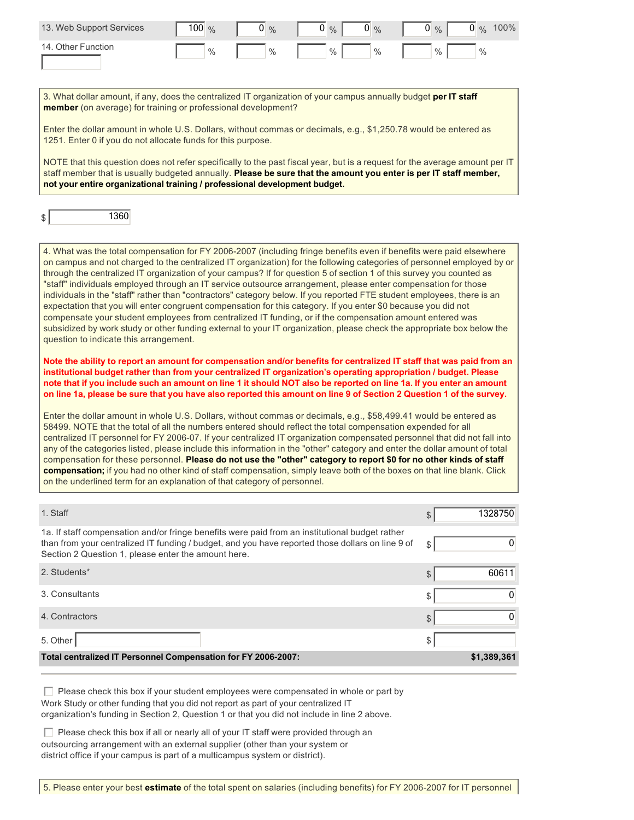| 13. Web Support Services | $100\%$       | $\frac{0}{0}$ | $0\%$ | $0\%$ | 0<br>$\frac{0}{0}$ | 100%<br>$\overline{0}$<br>$\frac{0}{0}$ |
|--------------------------|---------------|---------------|-------|-------|--------------------|-----------------------------------------|
| 14. Other Function       | $\frac{0}{0}$ | $\%$          | $\%$  | $\%$  | $\frac{0}{0}$      | $\%$                                    |

3. What dollar amount, if any, does the centralized IT organization of your campus annually budget **per IT staff member** (on average) for training or professional development?

Enter the dollar amount in whole U.S. Dollars, without commas or decimals, e.g., \$1,250.78 would be entered as 1251. Enter 0 if you do not allocate funds for this purpose.

NOTE that this question does not refer specifically to the past fiscal year, but is a request for the average amount per IT staff member that is usually budgeted annually. **Please be sure that the amount you enter is per IT staff member, not your entire organizational training / professional development budget.**

| ጦ  | 360 |
|----|-----|
| ۰ľ |     |
|    |     |

4. What was the total compensation for FY 2006-2007 (including fringe benefits even if benefits were paid elsewhere on campus and not charged to the centralized IT organization) for the following categories of personnel employed by or through the centralized IT organization of your campus? If for question 5 of section 1 of this survey you counted as "staff" individuals employed through an IT service outsource arrangement, please enter compensation for those individuals in the "staff" rather than "contractors" category below. If you reported FTE student employees, there is an expectation that you will enter congruent compensation for this category. If you enter \$0 because you did not compensate your student employees from centralized IT funding, or if the compensation amount entered was subsidized by work study or other funding external to your IT organization, please check the appropriate box below the question to indicate this arrangement.

**Note the ability to report an amount for compensation and/or benefits for centralized IT staff that was paid from an institutional budget rather than from your centralized IT organization's operating appropriation / budget. Please note that if you include such an amount on line 1 it should NOT also be reported on line 1a. If you enter an amount on line 1a, please be sure that you have also reported this amount on line 9 of Section 2 Question 1 of the survey.**

Enter the dollar amount in whole U.S. Dollars, without commas or decimals, e.g., \$58,499.41 would be entered as 58499. NOTE that the total of all the numbers entered should reflect the total compensation expended for all centralized IT personnel for FY 2006-07. If your centralized IT organization compensated personnel that did not fall into any of the categories listed, please include this information in the "other" category and enter the dollar amount of total compensation for these personnel. **Please do not use the "other" category to report \$0 for no other kinds of staff compensation;** if you had no other kind of staff compensation, simply leave both of the boxes on that line blank. Click on the underlined term for an explanation of that category of personnel.

| 1. Staff                                                                                                                                                                                                                                                  | 1328750     |
|-----------------------------------------------------------------------------------------------------------------------------------------------------------------------------------------------------------------------------------------------------------|-------------|
| 1a. If staff compensation and/or fringe benefits were paid from an institutional budget rather<br>than from your centralized IT funding / budget, and you have reported those dollars on line 9 of<br>Section 2 Question 1, please enter the amount here. | \$<br>U     |
| 2. Students*                                                                                                                                                                                                                                              | 60611       |
| 3. Consultants                                                                                                                                                                                                                                            |             |
| 4. Contractors                                                                                                                                                                                                                                            |             |
| 5. Other                                                                                                                                                                                                                                                  |             |
| Total centralized IT Personnel Compensation for FY 2006-2007:                                                                                                                                                                                             | \$1,389,361 |

 $\Box$  Please check this box if your student employees were compensated in whole or part by Work Study or other funding that you did not report as part of your centralized IT organization's funding in Section 2, Question 1 or that you did not include in line 2 above.

 $\Box$  Please check this box if all or nearly all of your IT staff were provided through an outsourcing arrangement with an external supplier (other than your system or district office if your campus is part of a multicampus system or district).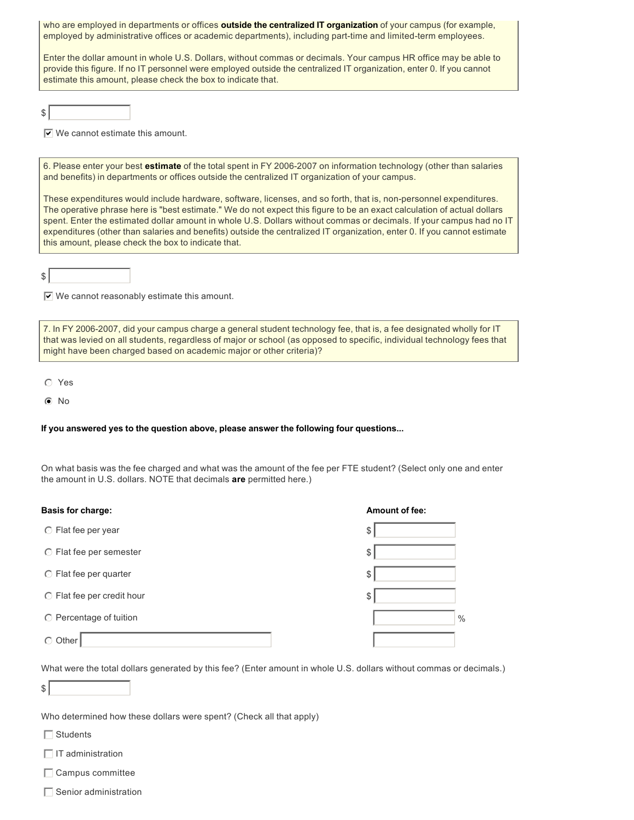who are employed in departments or offices **outside the centralized IT organization** of your campus (for example, employed by administrative offices or academic departments), including part-time and limited-term employees.

Enter the dollar amount in whole U.S. Dollars, without commas or decimals. Your campus HR office may be able to provide this figure. If no IT personnel were employed outside the centralized IT organization, enter 0. If you cannot estimate this amount, please check the box to indicate that.

\$

 $\overline{V}$  We cannot estimate this amount.

6. Please enter your best estimate of the total spent in FY 2006-2007 on information technology (other than salaries and benefits) in departments or offices outside the centralized IT organization of your campus.

These expenditures would include hardware, software, licenses, and so forth, that is, non-personnel expenditures. The operative phrase here is "best estimate." We do not expect this figure to be an exact calculation of actual dollars spent. Enter the estimated dollar amount in whole U.S. Dollars without commas or decimals. If your campus had no IT expenditures (other than salaries and benefits) outside the centralized IT organization, enter 0. If you cannot estimate this amount, please check the box to indicate that.

 $s$ 

 $\overline{\nabla}$  We cannot reasonably estimate this amount.

7. In FY 2006-2007, did your campus charge a general student technology fee, that is, a fee designated wholly for IT that was levied on all students, regardless of major or school (as opposed to specific, individual technology fees that might have been charged based on academic major or other criteria)?

 $O$  Yes

 $\odot$  No

#### **If you answered yes to the question above, please answer the following four questions...**

On what basis was the fee charged and what was the amount of the fee per FTE student? (Select only one and enter the amount in U.S. dollars. NOTE that decimals **are** permitted here.)

| <b>Basis for charge:</b>      | <b>Amount of fee:</b> |
|-------------------------------|-----------------------|
| ◯ Flat fee per year           | \$                    |
| $\circ$ Flat fee per semester | \$                    |
| $\odot$ Flat fee per quarter  | \$                    |
| ◯ Flat fee per credit hour    | \$                    |
| ◯ Percentage of tuition       | $\frac{0}{0}$         |
| Other<br>∩                    |                       |

What were the total dollars generated by this fee? (Enter amount in whole U.S. dollars without commas or decimals.)

 $s$ 

Who determined how these dollars were spent? (Check all that apply)

 $\Box$  Students

 $\Box$  IT administration

 $\Box$  Campus committee

 $\Box$  Senior administration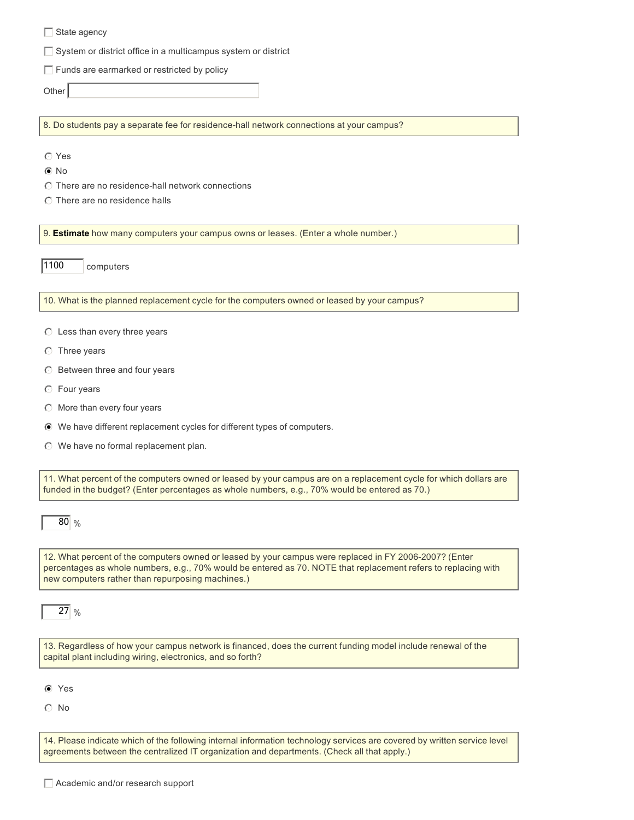$\Box$  System or district office in a multicampus system or district

 $\Box$  Funds are earmarked or restricted by policy

Other

8. Do students pay a separate fee for residence-hall network connections at your campus?

 $\odot$  Yes

No nmlkji

 $\odot$  There are no residence-hall network connections

 $\odot$  There are no residence halls

9. **Estimate** how many computers your campus owns or leases. (Enter a whole number.)

1100 computers

10. What is the planned replacement cycle for the computers owned or leased by your campus?

- $\odot$  Less than every three years
- $\odot$  Three years
- $\heartsuit$  Between three and four years
- $\odot$  Four years
- $\odot$  More than every four years
- $\odot$  We have different replacement cycles for different types of computers.
- $\odot$  We have no formal replacement plan.

11. What percent of the computers owned or leased by your campus are on a replacement cycle for which dollars are funded in the budget? (Enter percentages as whole numbers, e.g., 70% would be entered as 70.)

80 %

12. What percent of the computers owned or leased by your campus were replaced in FY 2006-2007? (Enter percentages as whole numbers, e.g., 70% would be entered as 70. NOTE that replacement refers to replacing with new computers rather than repurposing machines.)

27 %

13. Regardless of how your campus network is financed, does the current funding model include renewal of the capital plant including wiring, electronics, and so forth?

 $\odot$  Yes

 $\odot$  No

14. Please indicate which of the following internal information technology services are covered by written service level agreements between the centralized IT organization and departments. (Check all that apply.)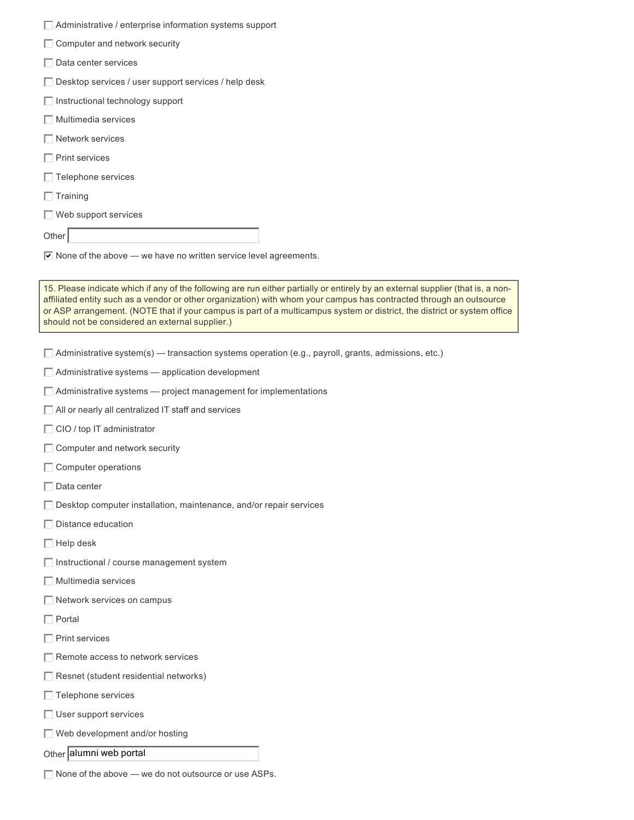| Administrative / enterprise information systems support                                                                                                                                                                                                                                                                                                                                                                               |
|---------------------------------------------------------------------------------------------------------------------------------------------------------------------------------------------------------------------------------------------------------------------------------------------------------------------------------------------------------------------------------------------------------------------------------------|
| □ Computer and network security                                                                                                                                                                                                                                                                                                                                                                                                       |
| $\Box$ Data center services                                                                                                                                                                                                                                                                                                                                                                                                           |
| $\Box$ Desktop services / user support services / help desk                                                                                                                                                                                                                                                                                                                                                                           |
| Instructional technology support                                                                                                                                                                                                                                                                                                                                                                                                      |
| $\Box$ Multimedia services                                                                                                                                                                                                                                                                                                                                                                                                            |
| $\Box$ Network services                                                                                                                                                                                                                                                                                                                                                                                                               |
| $\Box$ Print services                                                                                                                                                                                                                                                                                                                                                                                                                 |
| $\Box$ Telephone services                                                                                                                                                                                                                                                                                                                                                                                                             |
| $\Box$ Training                                                                                                                                                                                                                                                                                                                                                                                                                       |
| $\Box$ Web support services                                                                                                                                                                                                                                                                                                                                                                                                           |
| Other                                                                                                                                                                                                                                                                                                                                                                                                                                 |
| $\triangledown$ None of the above — we have no written service level agreements.                                                                                                                                                                                                                                                                                                                                                      |
|                                                                                                                                                                                                                                                                                                                                                                                                                                       |
| 15. Please indicate which if any of the following are run either partially or entirely by an external supplier (that is, a non-<br>affiliated entity such as a vendor or other organization) with whom your campus has contracted through an outsource<br>or ASP arrangement. (NOTE that if your campus is part of a multicampus system or district, the district or system office<br>should not be considered an external supplier.) |
| $\Box$ Administrative system(s) — transaction systems operation (e.g., payroll, grants, admissions, etc.)                                                                                                                                                                                                                                                                                                                             |
| $\Box$ Administrative systems $-$ application development                                                                                                                                                                                                                                                                                                                                                                             |
| $\Box$ Administrative systems $-$ project management for implementations                                                                                                                                                                                                                                                                                                                                                              |
| All or nearly all centralized IT staff and services                                                                                                                                                                                                                                                                                                                                                                                   |
| $\Box$ CIO / top IT administrator                                                                                                                                                                                                                                                                                                                                                                                                     |
| □ Computer and network security                                                                                                                                                                                                                                                                                                                                                                                                       |
| $\Box$ Computer operations                                                                                                                                                                                                                                                                                                                                                                                                            |
| $\Box$ Data center                                                                                                                                                                                                                                                                                                                                                                                                                    |
| $\Box$ Desktop computer installation, maintenance, and/or repair services                                                                                                                                                                                                                                                                                                                                                             |
| Distance education                                                                                                                                                                                                                                                                                                                                                                                                                    |
| $\Box$ Help desk                                                                                                                                                                                                                                                                                                                                                                                                                      |
| □ Instructional / course management system                                                                                                                                                                                                                                                                                                                                                                                            |
| $\Box$ Multimedia services                                                                                                                                                                                                                                                                                                                                                                                                            |
| Network services on campus                                                                                                                                                                                                                                                                                                                                                                                                            |
| $\Box$ Portal                                                                                                                                                                                                                                                                                                                                                                                                                         |
| $\Box$ Print services                                                                                                                                                                                                                                                                                                                                                                                                                 |
| □ Remote access to network services                                                                                                                                                                                                                                                                                                                                                                                                   |
| $\Box$ Resnet (student residential networks)                                                                                                                                                                                                                                                                                                                                                                                          |
| $\Box$ Telephone services                                                                                                                                                                                                                                                                                                                                                                                                             |
| User support services                                                                                                                                                                                                                                                                                                                                                                                                                 |
| Web development and/or hosting                                                                                                                                                                                                                                                                                                                                                                                                        |
| Other alumni web portal                                                                                                                                                                                                                                                                                                                                                                                                               |

 $\Box$  None of the above — we do not outsource or use ASPs.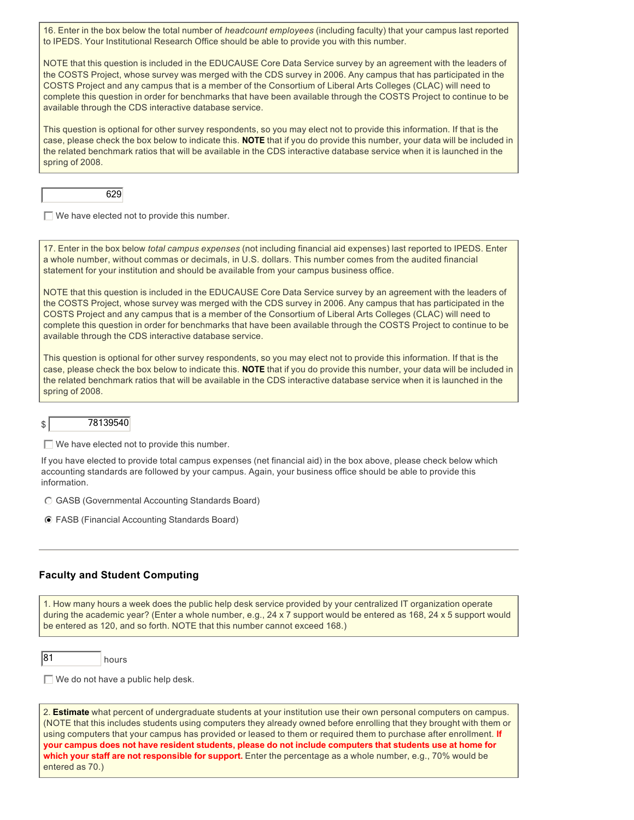16. Enter in the box below the total number of *headcount employees* (including faculty) that your campus last reported to IPEDS. Your Institutional Research Office should be able to provide you with this number.

NOTE that this question is included in the EDUCAUSE Core Data Service survey by an agreement with the leaders of the COSTS Project, whose survey was merged with the CDS survey in 2006. Any campus that has participated in the COSTS Project and any campus that is a member of the Consortium of Liberal Arts Colleges (CLAC) will need to complete this question in order for benchmarks that have been available through the COSTS Project to continue to be available through the CDS interactive database service.

This question is optional for other survey respondents, so you may elect not to provide this information. If that is the case, please check the box below to indicate this. **NOTE** that if you do provide this number, your data will be included in the related benchmark ratios that will be available in the CDS interactive database service when it is launched in the spring of 2008.



 $\Box$  We have elected not to provide this number.

17. Enter in the box below *total campus expenses* (not including financial aid expenses) last reported to IPEDS. Enter a whole number, without commas or decimals, in U.S. dollars. This number comes from the audited financial statement for your institution and should be available from your campus business office.

NOTE that this question is included in the EDUCAUSE Core Data Service survey by an agreement with the leaders of the COSTS Project, whose survey was merged with the CDS survey in 2006. Any campus that has participated in the COSTS Project and any campus that is a member of the Consortium of Liberal Arts Colleges (CLAC) will need to complete this question in order for benchmarks that have been available through the COSTS Project to continue to be available through the CDS interactive database service.

This question is optional for other survey respondents, so you may elect not to provide this information. If that is the case, please check the box below to indicate this. **NOTE** that if you do provide this number, your data will be included in the related benchmark ratios that will be available in the CDS interactive database service when it is launched in the spring of 2008.

#### $\vert$  78139540

 $\Box$  We have elected not to provide this number.

If you have elected to provide total campus expenses (net financial aid) in the box above, please check below which accounting standards are followed by your campus. Again, your business office should be able to provide this information.

- $\odot$  GASB (Governmental Accounting Standards Board)
- $\odot$  FASB (Financial Accounting Standards Board)

#### **Faculty and Student Computing**

1. How many hours a week does the public help desk service provided by your centralized IT organization operate during the academic year? (Enter a whole number, e.g., 24 x 7 support would be entered as 168, 24 x 5 support would be entered as 120, and so forth. NOTE that this number cannot exceed 168.)



 $\Box$  We do not have a public help desk.

2. **Estimate** what percent of undergraduate students at your institution use their own personal computers on campus. (NOTE that this includes students using computers they already owned before enrolling that they brought with them or using computers that your campus has provided or leased to them or required them to purchase after enrollment. **If your campus does not have resident students, please do not include computers that students use at home for which your staff are not responsible for support.** Enter the percentage as a whole number, e.g., 70% would be entered as 70.)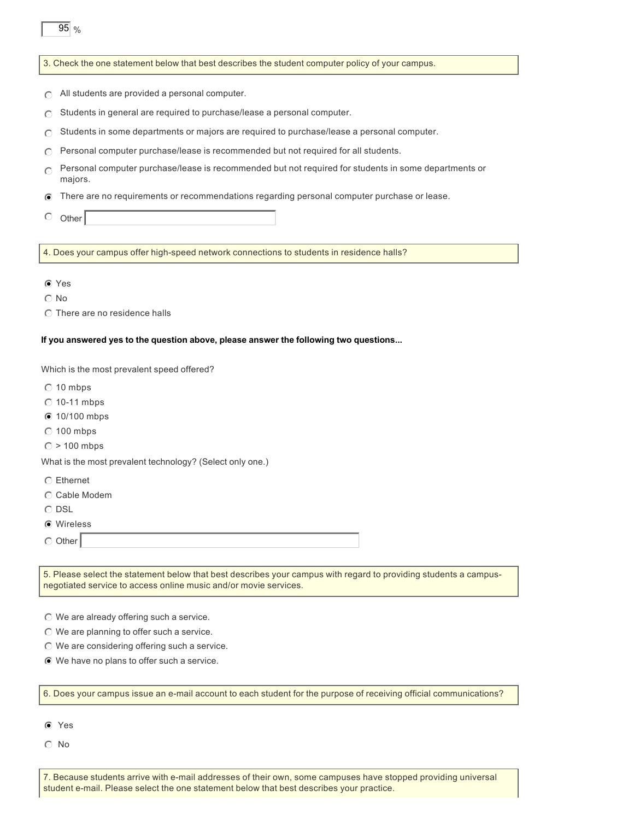|  |  |  | 3. Check the one statement below that best describes the student computer policy of your campus. |
|--|--|--|--------------------------------------------------------------------------------------------------|
|--|--|--|--------------------------------------------------------------------------------------------------|

- $\bigcirc$  All students are provided a personal computer.
- $\bigcirc$  Students in general are required to purchase/lease a personal computer.
- $\bigcap$  Students in some departments or majors are required to purchase/lease a personal computer.
- $\bigcirc$  Personal computer purchase/lease is recommended but not required for all students.
- $\odot$ Personal computer purchase/lease is recommended but not required for students in some departments or majors.
- n There are no requirements or recommendations regarding personal computer purchase or lease.
- $O$  Other

95 %

4. Does your campus offer high-speed network connections to students in residence halls?

- **⊙** Yes
- $\odot$  No
- $\odot$  There are no residence halls

#### **If you answered yes to the question above, please answer the following two questions...**

Which is the most prevalent speed offered?

- $\odot$  10 mbps
- $\odot$  10-11 mbps
- $\odot$  10/100 mbps
- $\odot$  100 mbps
- $\odot$  > 100 mbps

What is the most prevalent technology? (Select only one.)

- $\odot$  Ethernet
- $\odot$  Cable Modem
- $\odot$  DSL
- $\odot$  Wireless
- $\odot$  Other

5. Please select the statement below that best describes your campus with regard to providing students a campusnegotiated service to access online music and/or movie services.

- $\odot$  We are already offering such a service.
- $\odot$  We are planning to offer such a service.
- $\odot$  We are considering offering such a service.
- $\odot$  We have no plans to offer such a service.

#### 6. Does your campus issue an e-mail account to each student for the purpose of receiving official communications?

- $\odot$  Yes
- $\odot$  No

7. Because students arrive with e-mail addresses of their own, some campuses have stopped providing universal student e-mail. Please select the one statement below that best describes your practice.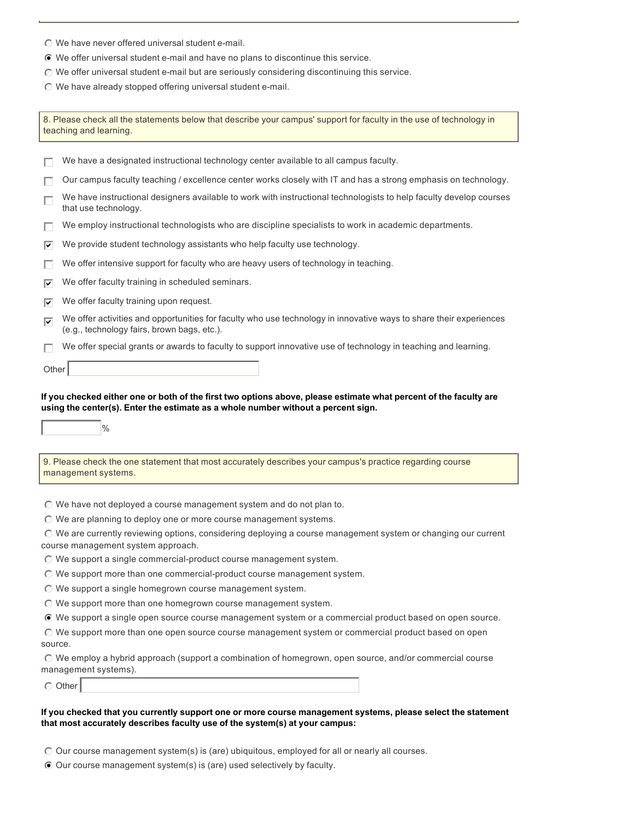- $\odot$  We have never offered universal student e-mail.
- $\odot$  We offer universal student e-mail and have no plans to discontinue this service.
- $\odot$  We offer universal student e-mail but are seriously considering discontinuing this service.
- $\odot$  We have already stopped offering universal student e-mail.

8. Please check all the statements below that describe your campus' support for faculty in the use of technology in teaching and learning.

|         | We have a designated instructional technology center available to all campus faculty.                                                                                                                          |
|---------|----------------------------------------------------------------------------------------------------------------------------------------------------------------------------------------------------------------|
|         | Our campus faculty teaching / excellence center works closely with IT and has a strong emphasis on technology.                                                                                                 |
| п       | We have instructional designers available to work with instructional technologists to help faculty develop courses<br>that use technology.                                                                     |
| ш       | We employ instructional technologists who are discipline specialists to work in academic departments.                                                                                                          |
| 1∽      | We provide student technology assistants who help faculty use technology.                                                                                                                                      |
| ш       | We offer intensive support for faculty who are heavy users of technology in teaching.                                                                                                                          |
| 1∽      | We offer faculty training in scheduled seminars.                                                                                                                                                               |
| 罓       | We offer faculty training upon request.                                                                                                                                                                        |
| 罓       | We offer activities and opportunities for faculty who use technology in innovative ways to share their experiences<br>(e.g., technology fairs, brown bags, etc.).                                              |
| П       | We offer special grants or awards to faculty to support innovative use of technology in teaching and learning.                                                                                                 |
| Other   |                                                                                                                                                                                                                |
|         |                                                                                                                                                                                                                |
|         | If you checked either one or both of the first two options above, please estimate what percent of the faculty are<br>using the center(s). Enter the estimate as a whole number without a percent sign.<br>$\%$ |
|         | 9. Please check the one statement that most accurately describes your campus's practice regarding course<br>management systems.                                                                                |
|         | $\odot$ We have not deployed a course management system and do not plan to.                                                                                                                                    |
|         | $\odot$ We are planning to deploy one or more course management systems.                                                                                                                                       |
|         | O We are currently reviewing options, considering deploying a course management system or changing our current<br>course management system approach.                                                           |
|         | $\odot$ We support a single commercial-product course management system.                                                                                                                                       |
|         | $\odot$ We support more than one commercial-product course management system.                                                                                                                                  |
|         | $\odot$ We support a single homegrown course management system.                                                                                                                                                |
|         | $\odot$ We support more than one homegrown course management system.                                                                                                                                           |
|         | ⊙ We support a single open source course management system or a commercial product based on open source.                                                                                                       |
| source. | © We support more than one open source course management system or commercial product based on open                                                                                                            |
|         | $\odot$ We employ a hybrid approach (support a combination of homegrown, open source, and/or commercial course                                                                                                 |
|         | management systems).                                                                                                                                                                                           |

#### **If you checked that you currently support one or more course management systems, please select the statement that most accurately describes faculty use of the system(s) at your campus:**

- $\odot$  Our course management system(s) is (are) ubiquitous, employed for all or nearly all courses.
- $\odot$  Our course management system(s) is (are) used selectively by faculty.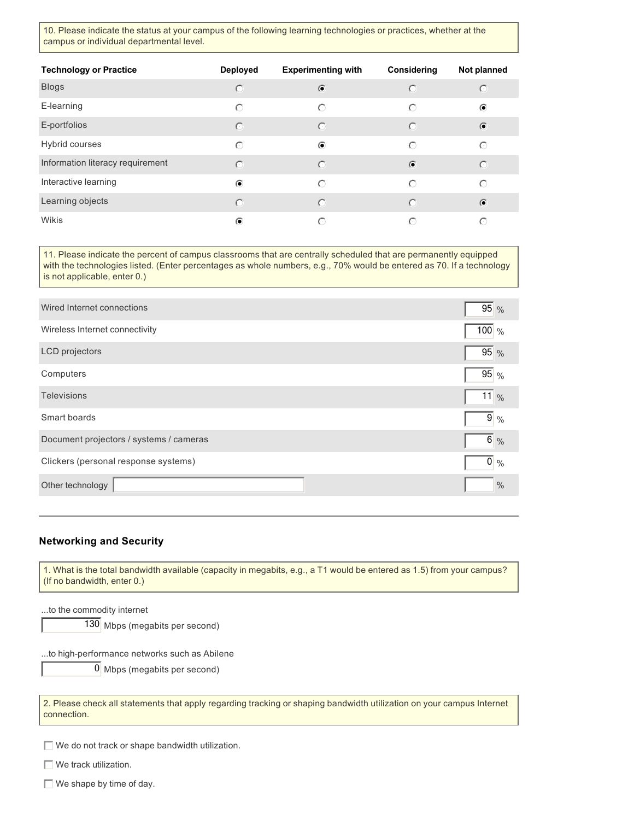10. Please indicate the status at your campus of the following learning technologies or practices, whether at the campus or individual departmental level.

| <b>Technology or Practice</b>    | <b>Deployed</b> | <b>Experimenting with</b> | Considering | Not planned |
|----------------------------------|-----------------|---------------------------|-------------|-------------|
| <b>Blogs</b>                     | $\odot$         | $\bullet$                 | $\odot$     | $\circ$     |
| E-learning                       | ∩               | $\odot$                   | $\bigcirc$  | $\odot$     |
| E-portfolios                     | $\odot$         | $\odot$                   | $\odot$     | $\bullet$   |
| <b>Hybrid courses</b>            | $\bigcirc$      | $\odot$                   | $\odot$     | $\odot$     |
| Information literacy requirement | $\bigcap$       | $\bigcirc$                | $\bullet$   | $\odot$     |
| Interactive learning             | $\odot$         | ∩                         | $\bigcirc$  | $\odot$     |
| Learning objects                 | $\odot$         | $\circ$                   | $\odot$     | $\bullet$   |
| Wikis                            | $\odot$         | ⊙                         | ∩           | ∩           |

11. Please indicate the percent of campus classrooms that are centrally scheduled that are permanently equipped with the technologies listed. (Enter percentages as whole numbers, e.g., 70% would be entered as 70. If a technology is not applicable, enter 0.)

| Wired Internet connections              | 95 %          |
|-----------------------------------------|---------------|
| Wireless Internet connectivity          | 100 $%$       |
| LCD projectors                          | 95 %          |
| Computers                               | $95\%$        |
| <b>Televisions</b>                      | $11\%$        |
| Smart boards                            | $9\%$         |
| Document projectors / systems / cameras | $6\%$         |
| Clickers (personal response systems)    | $0\%$         |
| Other technology                        | $\frac{0}{0}$ |

#### **Networking and Security**

1. What is the total bandwidth available (capacity in megabits, e.g., a T1 would be entered as 1.5) from your campus? (If no bandwidth, enter 0.)

...to the commodity internet

130 Mbps (megabits per second)

...to high-performance networks such as Abilene

0 Mbps (megabits per second)

2. Please check all statements that apply regarding tracking or shaping bandwidth utilization on your campus Internet connection.

 $\Box$  We do not track or shape bandwidth utilization.

 $\Box$  We track utilization.

 $\Box$  We shape by time of day.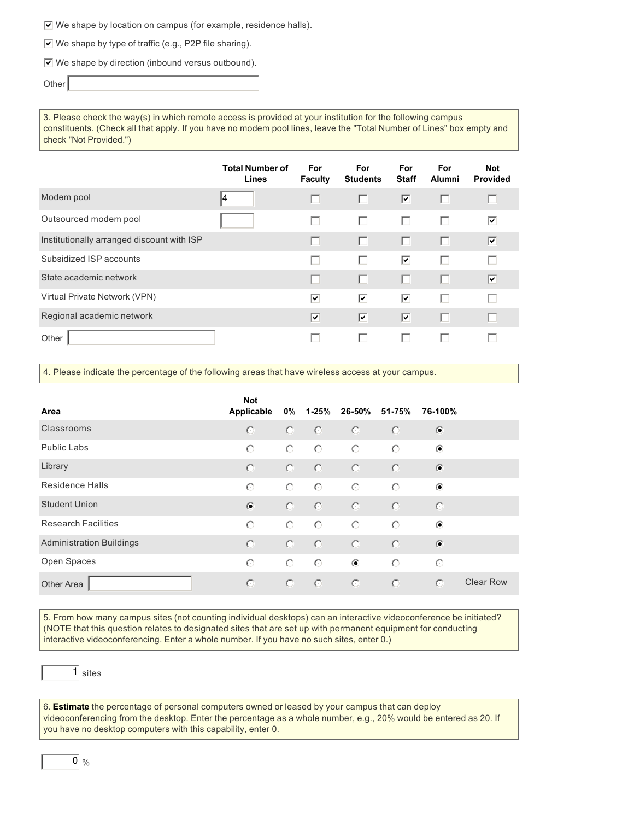$\overline{v}$  We shape by location on campus (for example, residence halls).

 $\triangledown$  We shape by type of traffic (e.g., P2P file sharing).

 $\triangledown$  We shape by direction (inbound versus outbound).

Other

3. Please check the way(s) in which remote access is provided at your institution for the following campus constituents. (Check all that apply. If you have no modem pool lines, leave the "Total Number of Lines" box empty and check "Not Provided.")

|                                            | <b>Total Number of</b><br><b>Lines</b> | <b>For</b><br><b>Faculty</b> | <b>For</b><br><b>Students</b> | <b>For</b><br><b>Staff</b> | <b>For</b><br><b>Alumni</b> | <b>Not</b><br><b>Provided</b> |
|--------------------------------------------|----------------------------------------|------------------------------|-------------------------------|----------------------------|-----------------------------|-------------------------------|
| Modem pool                                 | 4                                      |                              |                               | ⊽                          | ш                           |                               |
| Outsourced modem pool                      |                                        |                              | H                             | ш                          | г                           | ⊽                             |
| Institutionally arranged discount with ISP |                                        |                              | ш                             | ш                          | п                           | 1∽                            |
| Subsidized ISP accounts                    |                                        |                              |                               | ☑                          | L                           |                               |
| State academic network                     |                                        |                              |                               |                            | п                           | 1∽                            |
| Virtual Private Network (VPN)              |                                        | ⊽                            | ⊽                             | ⊽                          | L.                          |                               |
| Regional academic network                  |                                        | ⊽                            | ⊽                             | $\overline{\mathbf{y}}$    | п                           |                               |
| Other                                      |                                        |                              |                               |                            |                             |                               |

4. Please indicate the percentage of the following areas that have wireless access at your campus.

| Area                            | <b>Not</b><br>Applicable | 0%      | 1-25%   | 26-50%    | 51-75%  | 76-100%   |                  |
|---------------------------------|--------------------------|---------|---------|-----------|---------|-----------|------------------|
| Classrooms                      | $\odot$                  | $\odot$ | $\odot$ | $\odot$   | $\odot$ | $\bullet$ |                  |
| Public Labs                     | $\odot$                  | $\circ$ | $\circ$ | $\odot$   | $\odot$ | $\odot$   |                  |
| Library                         | $\odot$                  | $\circ$ | $\odot$ | $\odot$   | $\odot$ | $\bullet$ |                  |
| <b>Residence Halls</b>          | $\odot$                  | $\circ$ | $\odot$ | $\odot$   | $\odot$ | $\odot$   |                  |
| <b>Student Union</b>            | $\odot$                  | $\odot$ | $\odot$ | $\odot$   | $\circ$ | $\circ$   |                  |
| <b>Research Facilities</b>      | $\bigcirc$               | $\odot$ | $\odot$ | $\odot$   | $\odot$ | $\odot$   |                  |
| <b>Administration Buildings</b> | $\bigcirc$               | $\odot$ | $\odot$ | $\odot$   | $\odot$ | $\bullet$ |                  |
| Open Spaces                     | $\bigcirc$               | $\odot$ | $\odot$ | $\bullet$ | $\odot$ | $\odot$   |                  |
| <b>Other Area</b>               | $\odot$                  | $\odot$ | $\odot$ | $\odot$   | $\odot$ | $\odot$   | <b>Clear Row</b> |

5. From how many campus sites (not counting individual desktops) can an interactive videoconference be initiated? (NOTE that this question relates to designated sites that are set up with permanent equipment for conducting interactive videoconferencing. Enter a whole number. If you have no such sites, enter 0.)

1 sites

6. **Estimate** the percentage of personal computers owned or leased by your campus that can deploy videoconferencing from the desktop. Enter the percentage as a whole number, e.g., 20% would be entered as 20. If you have no desktop computers with this capability, enter 0.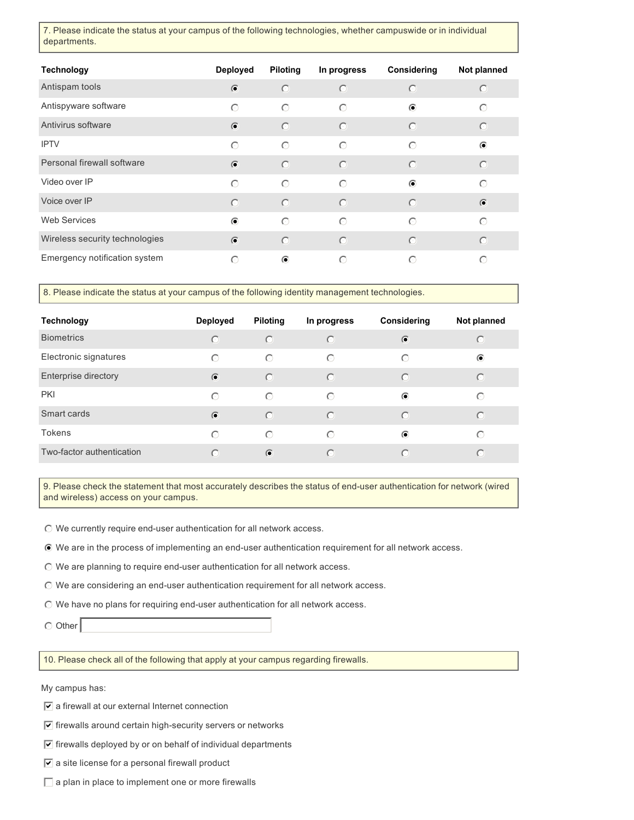7. Please indicate the status at your campus of the following technologies, whether campuswide or in individual departments.

| <b>Technology</b>              | <b>Deployed</b> | <b>Piloting</b> | In progress | Considering | Not planned |
|--------------------------------|-----------------|-----------------|-------------|-------------|-------------|
| Antispam tools                 | $\bullet$       | $\odot$         | $\odot$     | $\odot$     | $\circ$     |
| Antispyware software           | $\odot$         | $\odot$         | $\odot$     | $\odot$     | $\bigcirc$  |
| Antivirus software             | $\bullet$       | $\odot$         | $\odot$     | $\odot$     | $\circ$     |
| <b>IPTV</b>                    | $\odot$         | $\odot$         | $\odot$     | $\odot$     | $\bullet$   |
| Personal firewall software     | $\bullet$       | $\odot$         | $\odot$     | $\odot$     | $\odot$     |
| Video over IP                  | $\odot$         | $\odot$         | $\odot$     | $\odot$     | $\odot$     |
| Voice over IP                  | $\odot$         | $\odot$         | $\odot$     | $\odot$     | $\bullet$   |
| <b>Web Services</b>            | $\odot$         | $\odot$         | $\odot$     | $\odot$     | $\bigcirc$  |
| Wireless security technologies | $\bullet$       | $\odot$         | $\odot$     | $\odot$     | $\circ$     |
| Emergency notification system  | $\bigcirc$      | $\odot$         | $\bigcirc$  | $\odot$     | ⊙           |

8. Please indicate the status at your campus of the following identity management technologies.

| <b>Technology</b>         | <b>Deployed</b> | <b>Piloting</b> | In progress | Considering | Not planned          |
|---------------------------|-----------------|-----------------|-------------|-------------|----------------------|
| <b>Biometrics</b>         | $\odot$         | $\circ$         | $\odot$     | $\odot$     | $\left(\cdot\right)$ |
| Electronic signatures     | $\bigcirc$      | $\odot$         | $\odot$     | ⊙           | $\odot$              |
| Enterprise directory      | $\bullet$       | $\bigcirc$      | $\odot$     | $\bigcirc$  | $\bigcirc$           |
| <b>PKI</b>                | $\bigcirc$      | $\odot$         | $\odot$     | $\odot$     | $\bigcirc$           |
| Smart cards               | $\bullet$       | $\circ$         | $\odot$     | $\bigcirc$  | $\bigcirc$           |
| <b>Tokens</b>             | $\bigcirc$      | $\odot$         | $\odot$     | $\odot$     | ∩                    |
| Two-factor authentication | $\bigcirc$      | $\bullet$       | $\bigcap$   | $\bigcirc$  | $\bigcap$            |

9. Please check the statement that most accurately describes the status of end-user authentication for network (wired and wireless) access on your campus.

 $\odot$  We currently require end-user authentication for all network access.

 $\odot$  We are in the process of implementing an end-user authentication requirement for all network access.

 $\odot$  We are planning to require end-user authentication for all network access.

 $\odot$  We are considering an end-user authentication requirement for all network access.

 $\odot$  We have no plans for requiring end-user authentication for all network access.

 $\circ$  Other

10. Please check all of the following that apply at your campus regarding firewalls.

My campus has:

 $\sqrt{\bullet}$  a firewall at our external Internet connection

- $\overline{\triangledown}$  firewalls around certain high-security servers or networks
- $\overline{v}$  firewalls deployed by or on behalf of individual departments
- $\boxed{\mathbf{v}}$  a site license for a personal firewall product
- $\Box$  a plan in place to implement one or more firewalls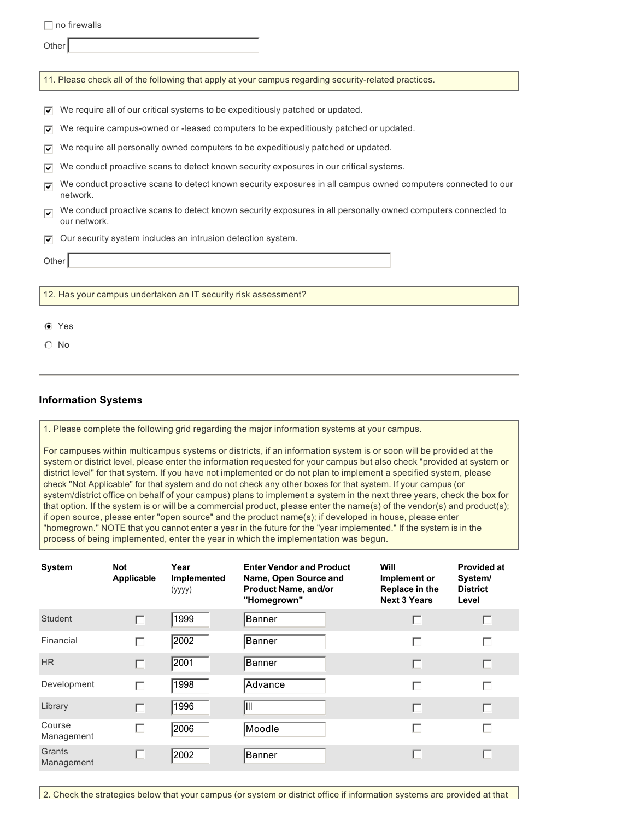$\Box$  no firewalls

**Other** 

11. Please check all of the following that apply at your campus regarding security-related practices.

 $\triangledown$  We require all of our critical systems to be expeditiously patched or updated.

 $\triangledown$  We require campus-owned or -leased computers to be expeditiously patched or updated.

 $\overline{v}$  We require all personally owned computers to be expeditiously patched or updated.

- $\triangledown$  We conduct proactive scans to detect known security exposures in our critical systems.
- $\overline{\mathbf{v}}$ We conduct proactive scans to detect known security exposures in all campus owned computers connected to our network.
- $\overline{\mathbf{v}}$ We conduct proactive scans to detect known security exposures in all personally owned computers connected to our network.

 $\overline{v}$  Our security system includes an intrusion detection system.

**Other** 

12. Has your campus undertaken an IT security risk assessment?

- $\odot$  Yes
- $\odot$  No

#### **Information Systems**

1. Please complete the following grid regarding the major information systems at your campus.

For campuses within multicampus systems or districts, if an information system is or soon will be provided at the system or district level, please enter the information requested for your campus but also check "provided at system or district level" for that system. If you have not implemented or do not plan to implement a specified system, please check "Not Applicable" for that system and do not check any other boxes for that system. If your campus (or system/district office on behalf of your campus) plans to implement a system in the next three years, check the box for that option. If the system is or will be a commercial product, please enter the name(s) of the vendor(s) and product(s); if open source, please enter "open source" and the product name(s); if developed in house, please enter "homegrown." NOTE that you cannot enter a year in the future for the "year implemented." If the system is in the process of being implemented, enter the year in which the implementation was begun.

| <b>System</b>        | <b>Not</b><br>Applicable | Year<br>Implemented<br>(yyyy) | <b>Enter Vendor and Product</b><br>Name, Open Source and<br><b>Product Name, and/or</b><br>"Homegrown" | Will<br>Implement or<br>Replace in the<br><b>Next 3 Years</b> | <b>Provided at</b><br>System/<br><b>District</b><br>Level |
|----------------------|--------------------------|-------------------------------|--------------------------------------------------------------------------------------------------------|---------------------------------------------------------------|-----------------------------------------------------------|
| Student              |                          | 1999                          | Banner                                                                                                 |                                                               | г                                                         |
| Financial            | г                        | 2002                          | Banner                                                                                                 |                                                               | Г                                                         |
| <b>HR</b>            |                          | 2001                          | Banner                                                                                                 |                                                               | H                                                         |
| Development          |                          | 1998                          | Advance                                                                                                |                                                               | Г                                                         |
| Library              |                          | 1996                          | III                                                                                                    |                                                               | П                                                         |
| Course<br>Management |                          | 2006                          | Moodle                                                                                                 |                                                               | Г                                                         |
| Grants<br>Management |                          | 2002                          | Banner                                                                                                 |                                                               | L                                                         |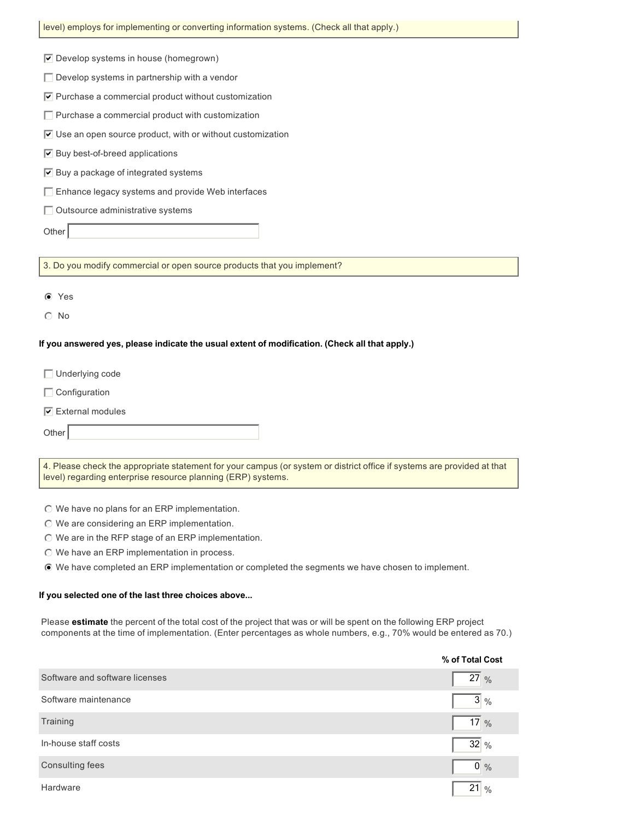| level) employs for implementing or converting information systems. (Check all that apply.)                                                                                              |
|-----------------------------------------------------------------------------------------------------------------------------------------------------------------------------------------|
| $\triangledown$ Develop systems in house (homegrown)                                                                                                                                    |
| $\Box$ Develop systems in partnership with a vendor                                                                                                                                     |
| $\triangledown$ Purchase a commercial product without customization                                                                                                                     |
| $\Box$ Purchase a commercial product with customization                                                                                                                                 |
| $\triangledown$ Use an open source product, with or without customization                                                                                                               |
| $\triangledown$ Buy best-of-breed applications                                                                                                                                          |
| $\triangledown$ Buy a package of integrated systems                                                                                                                                     |
| Enhance legacy systems and provide Web interfaces                                                                                                                                       |
|                                                                                                                                                                                         |
| □ Outsource administrative systems                                                                                                                                                      |
| Other                                                                                                                                                                                   |
| 3. Do you modify commercial or open source products that you implement?                                                                                                                 |
|                                                                                                                                                                                         |
| C Yes                                                                                                                                                                                   |
| $\circ$ No                                                                                                                                                                              |
|                                                                                                                                                                                         |
| If you answered yes, please indicate the usual extent of modification. (Check all that apply.)                                                                                          |
| $\Box$ Underlying code                                                                                                                                                                  |
| $\Box$ Configuration                                                                                                                                                                    |
| $\boxed{\mathbf{v}}$ External modules                                                                                                                                                   |
| Other                                                                                                                                                                                   |
|                                                                                                                                                                                         |
| 4. Please check the appropriate statement for your campus (or system or district office if systems are provided at that<br>level) regarding enterprise resource planning (ERP) systems. |
|                                                                                                                                                                                         |
| © We have no plans for an ERP implementation.<br>© We are considering an ERP implementation.                                                                                            |
| ◯ We are in the RFP stage of an ERP implementation.                                                                                                                                     |
| © We have an ERP implementation in process.                                                                                                                                             |
| ⊙ We have completed an ERP implementation or completed the segments we have chosen to implement.                                                                                        |
| If you selected one of the last three choices above                                                                                                                                     |

J.

Please **estimate** the percent of the total cost of the project that was or will be spent on the following ERP project components at the time of implementation. (Enter percentages as whole numbers, e.g., 70% would be entered as 70.)

|                                | % of Total Cost     |
|--------------------------------|---------------------|
| Software and software licenses | $27\%$              |
| Software maintenance           | $3\%$               |
| Training                       | 17 %                |
| In-house staff costs           | $32\frac{9}{6}$     |
| Consulting fees                | $0\%$               |
| Hardware                       | 21<br>$\frac{0}{0}$ |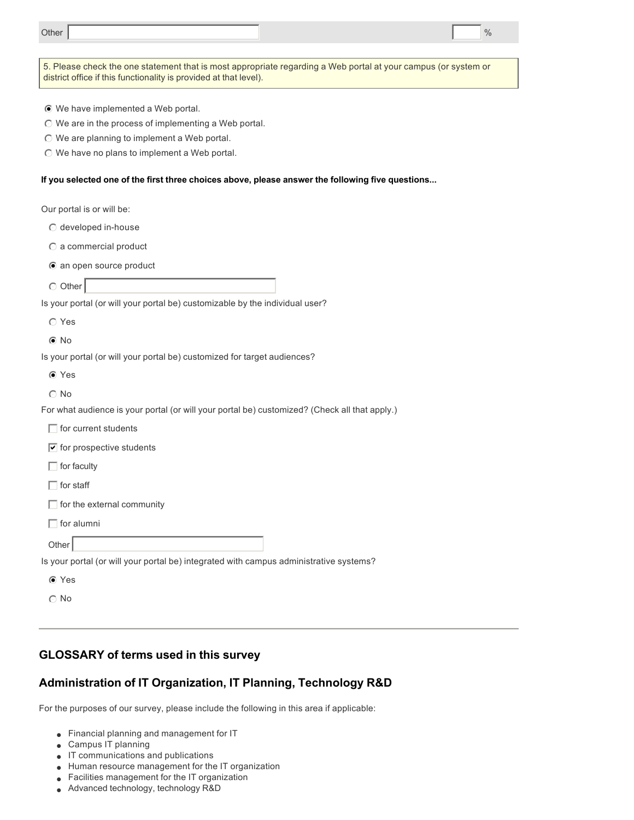| Other                                                                                                                                                                               |  |  | $\frac{0}{0}$ |
|-------------------------------------------------------------------------------------------------------------------------------------------------------------------------------------|--|--|---------------|
|                                                                                                                                                                                     |  |  |               |
| 5. Please check the one statement that is most appropriate regarding a Web portal at your campus (or system or<br>district office if this functionality is provided at that level). |  |  |               |
|                                                                                                                                                                                     |  |  |               |
| ⊙ We have implemented a Web portal.                                                                                                                                                 |  |  |               |
| ◯ We are in the process of implementing a Web portal.                                                                                                                               |  |  |               |
| $\odot$ We are planning to implement a Web portal.<br>◯ We have no plans to implement a Web portal.                                                                                 |  |  |               |
|                                                                                                                                                                                     |  |  |               |
| If you selected one of the first three choices above, please answer the following five questions                                                                                    |  |  |               |
| Our portal is or will be:                                                                                                                                                           |  |  |               |
| © developed in-house                                                                                                                                                                |  |  |               |
| $\odot$ a commercial product                                                                                                                                                        |  |  |               |
| ● an open source product                                                                                                                                                            |  |  |               |
| $\circ$ Other                                                                                                                                                                       |  |  |               |
| Is your portal (or will your portal be) customizable by the individual user?                                                                                                        |  |  |               |
| $\circ$ Yes                                                                                                                                                                         |  |  |               |
| $\odot$ No                                                                                                                                                                          |  |  |               |
| Is your portal (or will your portal be) customized for target audiences?                                                                                                            |  |  |               |
| ⊙ Yes                                                                                                                                                                               |  |  |               |
| $\odot$ No                                                                                                                                                                          |  |  |               |
| For what audience is your portal (or will your portal be) customized? (Check all that apply.)                                                                                       |  |  |               |
| $\Box$ for current students                                                                                                                                                         |  |  |               |
| $\boxed{\mathbf{v}}$ for prospective students                                                                                                                                       |  |  |               |
| $\Box$ for faculty                                                                                                                                                                  |  |  |               |
| $\Box$ for staff                                                                                                                                                                    |  |  |               |
| $\Box$ for the external community                                                                                                                                                   |  |  |               |
| $\Box$ for alumni                                                                                                                                                                   |  |  |               |
| Other                                                                                                                                                                               |  |  |               |
| Is your portal (or will your portal be) integrated with campus administrative systems?                                                                                              |  |  |               |
| ⊙ Yes                                                                                                                                                                               |  |  |               |
| $\odot$ No                                                                                                                                                                          |  |  |               |
|                                                                                                                                                                                     |  |  |               |

# **GLOSSARY of terms used in this survey**

# **Administration of IT Organization, IT Planning, Technology R&D**

For the purposes of our survey, please include the following in this area if applicable:

- **.** Financial planning and management for IT
- $\bullet$  Campus IT planning
- $\bullet$  IT communications and publications
- $\bullet$  Human resource management for the IT organization
- $\bullet$  Facilities management for the IT organization
- **Advanced technology, technology R&D**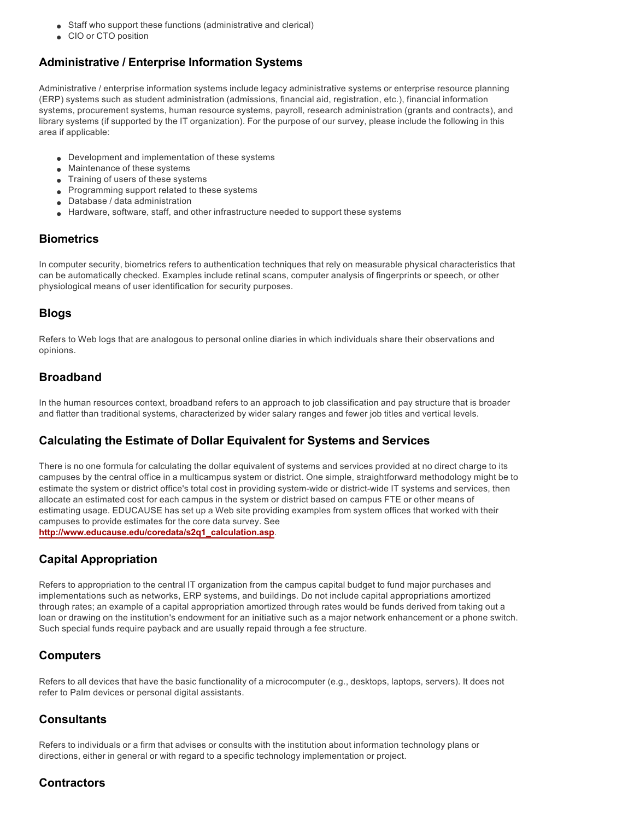- **Staff who support these functions (administrative and clerical)**
- CIO or CTO position

## **Administrative / Enterprise Information Systems**

Administrative / enterprise information systems include legacy administrative systems or enterprise resource planning (ERP) systems such as student administration (admissions, financial aid, registration, etc.), financial information systems, procurement systems, human resource systems, payroll, research administration (grants and contracts), and library systems (if supported by the IT organization). For the purpose of our survey, please include the following in this area if applicable:

- $\bullet$  Development and implementation of these systems
- Maintenance of these systems
- Training of users of these systems
- <sup>l</sup> Programming support related to these systems
- Database / data administration
- $\bullet$  Hardware, software, staff, and other infrastructure needed to support these systems

#### **Biometrics**

In computer security, biometrics refers to authentication techniques that rely on measurable physical characteristics that can be automatically checked. Examples include retinal scans, computer analysis of fingerprints or speech, or other physiological means of user identification for security purposes.

#### **Blogs**

Refers to Web logs that are analogous to personal online diaries in which individuals share their observations and opinions.

### **Broadband**

In the human resources context, broadband refers to an approach to job classification and pay structure that is broader and flatter than traditional systems, characterized by wider salary ranges and fewer job titles and vertical levels.

#### **Calculating the Estimate of Dollar Equivalent for Systems and Services**

There is no one formula for calculating the dollar equivalent of systems and services provided at no direct charge to its campuses by the central office in a multicampus system or district. One simple, straightforward methodology might be to estimate the system or district office's total cost in providing system-wide or district-wide IT systems and services, then allocate an estimated cost for each campus in the system or district based on campus FTE or other means of estimating usage. EDUCAUSE has set up a Web site providing examples from system offices that worked with their campuses to provide estimates for the core data survey. See **http://www.educause.edu/coredata/s2q1\_calculation.asp**.

### **Capital Appropriation**

Refers to appropriation to the central IT organization from the campus capital budget to fund major purchases and implementations such as networks, ERP systems, and buildings. Do not include capital appropriations amortized through rates; an example of a capital appropriation amortized through rates would be funds derived from taking out a loan or drawing on the institution's endowment for an initiative such as a major network enhancement or a phone switch. Such special funds require payback and are usually repaid through a fee structure.

### **Computers**

Refers to all devices that have the basic functionality of a microcomputer (e.g., desktops, laptops, servers). It does not refer to Palm devices or personal digital assistants.

#### **Consultants**

Refers to individuals or a firm that advises or consults with the institution about information technology plans or directions, either in general or with regard to a specific technology implementation or project.

#### **Contractors**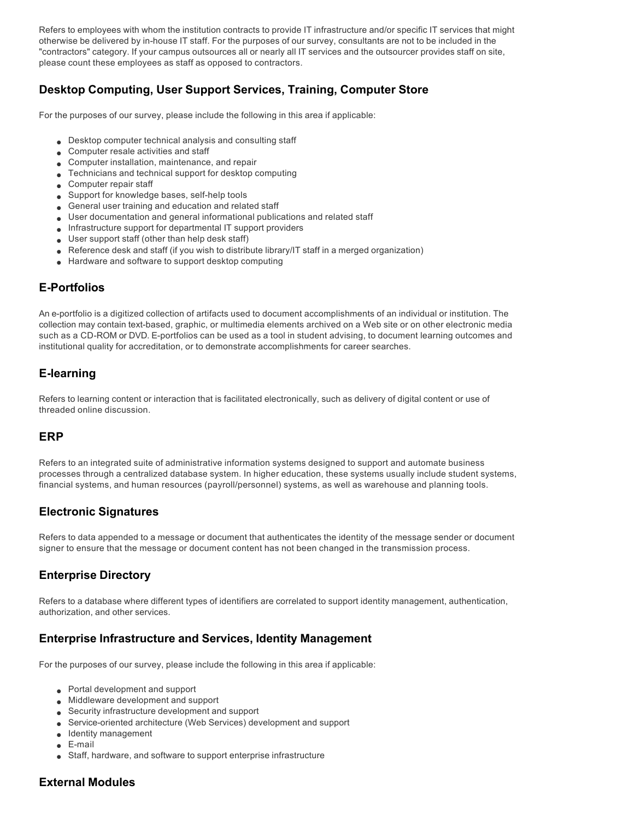Refers to employees with whom the institution contracts to provide IT infrastructure and/or specific IT services that might otherwise be delivered by inhouse IT staff. For the purposes of our survey, consultants are not to be included in the "contractors" category. If your campus outsources all or nearly all IT services and the outsourcer provides staff on site, please count these employees as staff as opposed to contractors.

# **Desktop Computing, User Support Services, Training, Computer Store**

For the purposes of our survey, please include the following in this area if applicable:

- **Desktop computer technical analysis and consulting staff**
- **.** Computer resale activities and staff
- **.** Computer installation, maintenance, and repair
- $\bullet$  Technicians and technical support for desktop computing
- $\bullet$  Computer repair staff
- Support for knowledge bases, self-help tools
- **General user training and education and related staff**
- <sup>l</sup> User documentation and general informational publications and related staff
- **.** Infrastructure support for departmental IT support providers
- $\bullet$  User support staff (other than help desk staff)
- $\bullet$  Reference desk and staff (if you wish to distribute library/IT staff in a merged organization)
- Hardware and software to support desktop computing

# **E-Portfolios**

An e-portfolio is a digitized collection of artifacts used to document accomplishments of an individual or institution. The collection may contain text-based, graphic, or multimedia elements archived on a Web site or on other electronic media such as a CD-ROM or DVD. E-portfolios can be used as a tool in student advising, to document learning outcomes and institutional quality for accreditation, or to demonstrate accomplishments for career searches.

# **Elearning**

Refers to learning content or interaction that is facilitated electronically, such as delivery of digital content or use of threaded online discussion.

#### **ERP**

Refers to an integrated suite of administrative information systems designed to support and automate business processes through a centralized database system. In higher education, these systems usually include student systems, financial systems, and human resources (payroll/personnel) systems, as well as warehouse and planning tools.

### **Electronic Signatures**

Refers to data appended to a message or document that authenticates the identity of the message sender or document signer to ensure that the message or document content has not been changed in the transmission process.

# **Enterprise Directory**

Refers to a database where different types of identifiers are correlated to support identity management, authentication, authorization, and other services.

### **Enterprise Infrastructure and Services, Identity Management**

For the purposes of our survey, please include the following in this area if applicable:

- Portal development and support
- **.** Middleware development and support
- **.** Security infrastructure development and support
- **Service-oriented architecture (Web Services) development and support**
- **.** Identity management
- $\epsilon$  E-mail
- **Staff, hardware, and software to support enterprise infrastructure**

### **External Modules**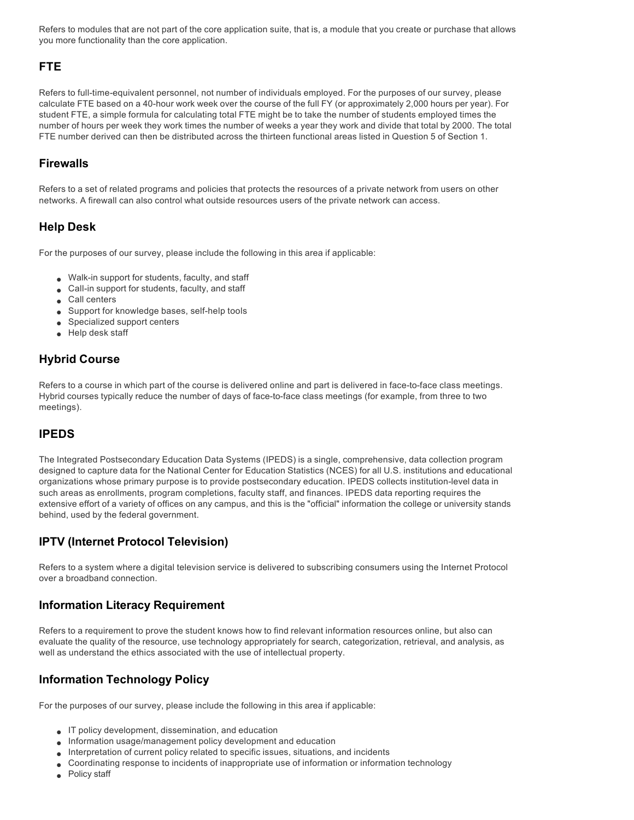Refers to modules that are not part of the core application suite, that is, a module that you create or purchase that allows you more functionality than the core application.

## **FTE**

Refers to full-time-equivalent personnel, not number of individuals employed. For the purposes of our survey, please calculate FTE based on a 40-hour work week over the course of the full FY (or approximately 2,000 hours per year). For student FTE, a simple formula for calculating total FTE might be to take the number of students employed times the number of hours per week they work times the number of weeks a year they work and divide that total by 2000. The total FTE number derived can then be distributed across the thirteen functional areas listed in Question 5 of Section 1.

#### **Firewalls**

Refers to a set of related programs and policies that protects the resources of a private network from users on other networks. A firewall can also control what outside resources users of the private network can access.

### **Help Desk**

For the purposes of our survey, please include the following in this area if applicable:

- $\bullet$  Walk-in support for students, faculty, and staff
- Call-in support for students, faculty, and staff
- Call centers
- $\bullet$  Support for knowledge bases, self-help tools
- $\bullet$  Specialized support centers
- $\bullet$  Help desk staff

## **Hybrid Course**

Refers to a course in which part of the course is delivered online and part is delivered in face-to-face class meetings. Hybrid courses typically reduce the number of days of face-to-face class meetings (for example, from three to two meetings).

# **IPEDS**

The Integrated Postsecondary Education Data Systems (IPEDS) is a single, comprehensive, data collection program designed to capture data for the National Center for Education Statistics (NCES) for all U.S. institutions and educational organizations whose primary purpose is to provide postsecondary education. IPEDS collects institution-level data in such areas as enrollments, program completions, faculty staff, and finances. IPEDS data reporting requires the extensive effort of a variety of offices on any campus, and this is the "official" information the college or university stands behind, used by the federal government.

### **IPTV (Internet Protocol Television)**

Refers to a system where a digital television service is delivered to subscribing consumers using the Internet Protocol over a broadband connection.

#### **Information Literacy Requirement**

Refers to a requirement to prove the student knows how to find relevant information resources online, but also can evaluate the quality of the resource, use technology appropriately for search, categorization, retrieval, and analysis, as well as understand the ethics associated with the use of intellectual property.

### **Information Technology Policy**

For the purposes of our survey, please include the following in this area if applicable:

- $\bullet$  IT policy development, dissemination, and education
- <sup>l</sup> Information usage/management policy development and education
- Interpretation of current policy related to specific issues, situations, and incidents
- <sup>l</sup> Coordinating response to incidents of inappropriate use of information or information technology
- Policy staff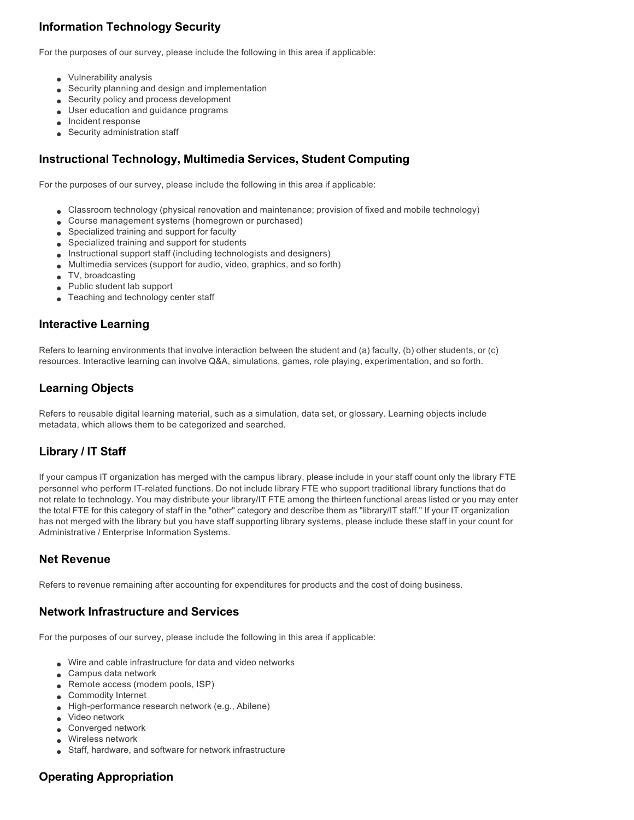# **Information Technology Security**

For the purposes of our survey, please include the following in this area if applicable:

- $\bullet$  Vulnerability analysis
- Security planning and design and implementation
- **e** Security policy and process development
- **J** User education and guidance programs
- $\bullet$  Incident response
- $\bullet$  Security administration staff

#### **Instructional Technology, Multimedia Services, Student Computing**

For the purposes of our survey, please include the following in this area if applicable:

- <sup>l</sup> Classroom technology (physical renovation and maintenance; provision of fixed and mobile technology)
- Course management systems (homegrown or purchased)
- $\bullet$  Specialized training and support for faculty
- $\bullet$  Specialized training and support for students
- **.** Instructional support staff (including technologists and designers)
- $\bullet$  Multimedia services (support for audio, video, graphics, and so forth)
- $\bullet$  TV, broadcasting
- $\bullet$  Public student lab support
- **I** Teaching and technology center staff

#### **Interactive Learning**

Refers to learning environments that involve interaction between the student and (a) faculty, (b) other students, or (c) resources. Interactive learning can involve Q&A, simulations, games, role playing, experimentation, and so forth.

# **Learning Objects**

Refers to reusable digital learning material, such as a simulation, data set, or glossary. Learning objects include metadata, which allows them to be categorized and searched.

# **Library / IT Staff**

If your campus IT organization has merged with the campus library, please include in your staff count only the library FTE personnel who perform IT-related functions. Do not include library FTE who support traditional library functions that do not relate to technology. You may distribute your library/IT FTE among the thirteen functional areas listed or you may enter the total FTE for this category of staff in the "other" category and describe them as "library/IT staff." If your IT organization has not merged with the library but you have staff supporting library systems, please include these staff in your count for Administrative / Enterprise Information Systems.

### **Net Revenue**

Refers to revenue remaining after accounting for expenditures for products and the cost of doing business.

#### **Network Infrastructure and Services**

For the purposes of our survey, please include the following in this area if applicable:

- $\bullet$  Wire and cable infrastructure for data and video networks
- $\bullet$  Campus data network
- $\bullet$  Remote access (modem pools, ISP)
- **.** Commodity Internet
- $\bullet$  High-performance research network (e.g., Abilene)
- $\bullet$  Video network
- **.** Converged network
- $\bullet$  Wireless network
- **Staff, hardware, and software for network infrastructure**

### **Operating Appropriation**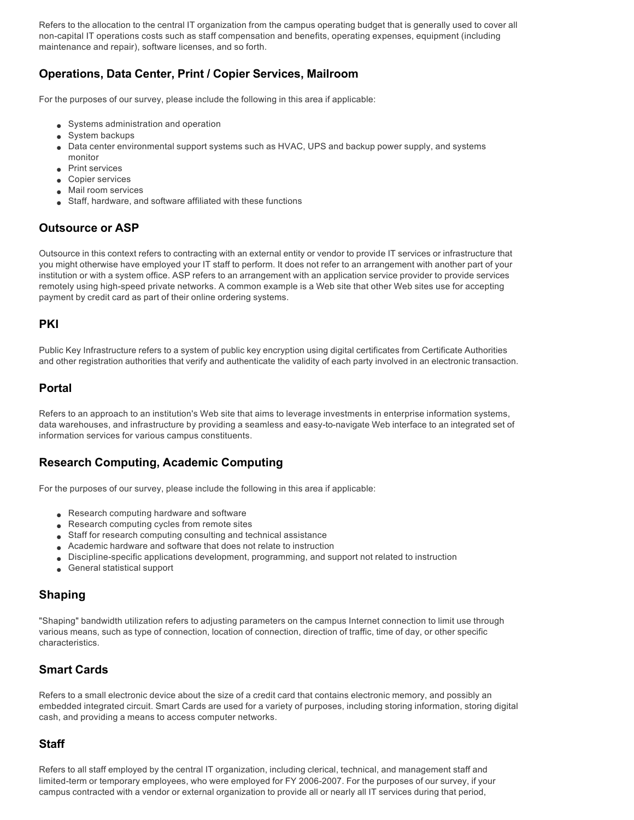Refers to the allocation to the central IT organization from the campus operating budget that is generally used to cover all noncapital IT operations costs such as staff compensation and benefits, operating expenses, equipment (including maintenance and repair), software licenses, and so forth.

## **Operations, Data Center, Print / Copier Services, Mailroom**

For the purposes of our survey, please include the following in this area if applicable:

- Systems administration and operation
- System backups
- Data center environmental support systems such as HVAC, UPS and backup power supply, and systems monitor
- **Print services**
- Copier services
- Mail room services
- Staff, hardware, and software affiliated with these functions

## **Outsource or ASP**

Outsource in this context refers to contracting with an external entity or vendor to provide IT services or infrastructure that you might otherwise have employed your IT staff to perform. It does not refer to an arrangement with another part of your institution or with a system office. ASP refers to an arrangement with an application service provider to provide services remotely using high-speed private networks. A common example is a Web site that other Web sites use for accepting payment by credit card as part of their online ordering systems.

#### **PKI**

Public Key Infrastructure refers to a system of public key encryption using digital certificates from Certificate Authorities and other registration authorities that verify and authenticate the validity of each party involved in an electronic transaction.

#### **Portal**

Refers to an approach to an institution's Web site that aims to leverage investments in enterprise information systems, data warehouses, and infrastructure by providing a seamless and easy-to-navigate Web interface to an integrated set of information services for various campus constituents.

### **Research Computing, Academic Computing**

For the purposes of our survey, please include the following in this area if applicable:

- $\bullet$  Research computing hardware and software
- $\bullet$  Research computing cycles from remote sites
- **Staff for research computing consulting and technical assistance**
- Academic hardware and software that does not relate to instruction
- <sup>l</sup> Disciplinespecific applications development, programming, and support not related to instruction
- **e** General statistical support

### **Shaping**

"Shaping" bandwidth utilization refers to adjusting parameters on the campus Internet connection to limit use through various means, such as type of connection, location of connection, direction of traffic, time of day, or other specific characteristics.

### **Smart Cards**

Refers to a small electronic device about the size of a credit card that contains electronic memory, and possibly an embedded integrated circuit. Smart Cards are used for a variety of purposes, including storing information, storing digital cash, and providing a means to access computer networks.

### **Staff**

Refers to all staff employed by the central IT organization, including clerical, technical, and management staff and limited-term or temporary employees, who were employed for FY 2006-2007. For the purposes of our survey, if your campus contracted with a vendor or external organization to provide all or nearly all IT services during that period,